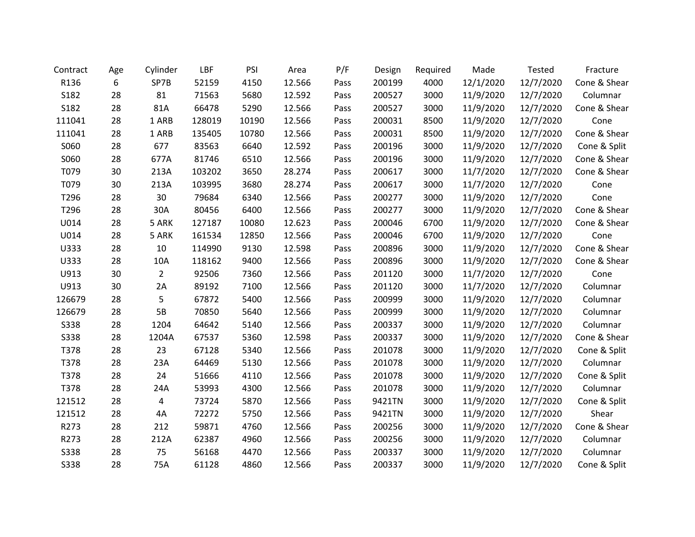| Contract    | Age | Cylinder       | LBF    | PSI   | Area   | P/F  | Design | Required | Made      | Tested    | Fracture     |
|-------------|-----|----------------|--------|-------|--------|------|--------|----------|-----------|-----------|--------------|
| R136        | 6   | SP7B           | 52159  | 4150  | 12.566 | Pass | 200199 | 4000     | 12/1/2020 | 12/7/2020 | Cone & Shear |
| S182        | 28  | 81             | 71563  | 5680  | 12.592 | Pass | 200527 | 3000     | 11/9/2020 | 12/7/2020 | Columnar     |
| S182        | 28  | 81A            | 66478  | 5290  | 12.566 | Pass | 200527 | 3000     | 11/9/2020 | 12/7/2020 | Cone & Shear |
| 111041      | 28  | 1 ARB          | 128019 | 10190 | 12.566 | Pass | 200031 | 8500     | 11/9/2020 | 12/7/2020 | Cone         |
| 111041      | 28  | 1 ARB          | 135405 | 10780 | 12.566 | Pass | 200031 | 8500     | 11/9/2020 | 12/7/2020 | Cone & Shear |
| S060        | 28  | 677            | 83563  | 6640  | 12.592 | Pass | 200196 | 3000     | 11/9/2020 | 12/7/2020 | Cone & Split |
| S060        | 28  | 677A           | 81746  | 6510  | 12.566 | Pass | 200196 | 3000     | 11/9/2020 | 12/7/2020 | Cone & Shear |
| T079        | 30  | 213A           | 103202 | 3650  | 28.274 | Pass | 200617 | 3000     | 11/7/2020 | 12/7/2020 | Cone & Shear |
| T079        | 30  | 213A           | 103995 | 3680  | 28.274 | Pass | 200617 | 3000     | 11/7/2020 | 12/7/2020 | Cone         |
| T296        | 28  | 30             | 79684  | 6340  | 12.566 | Pass | 200277 | 3000     | 11/9/2020 | 12/7/2020 | Cone         |
| T296        | 28  | 30A            | 80456  | 6400  | 12.566 | Pass | 200277 | 3000     | 11/9/2020 | 12/7/2020 | Cone & Shear |
| U014        | 28  | 5 ARK          | 127187 | 10080 | 12.623 | Pass | 200046 | 6700     | 11/9/2020 | 12/7/2020 | Cone & Shear |
| U014        | 28  | 5 ARK          | 161534 | 12850 | 12.566 | Pass | 200046 | 6700     | 11/9/2020 | 12/7/2020 | Cone         |
| U333        | 28  | 10             | 114990 | 9130  | 12.598 | Pass | 200896 | 3000     | 11/9/2020 | 12/7/2020 | Cone & Shear |
| U333        | 28  | 10A            | 118162 | 9400  | 12.566 | Pass | 200896 | 3000     | 11/9/2020 | 12/7/2020 | Cone & Shear |
| U913        | 30  | $\overline{2}$ | 92506  | 7360  | 12.566 | Pass | 201120 | 3000     | 11/7/2020 | 12/7/2020 | Cone         |
| U913        | 30  | 2A             | 89192  | 7100  | 12.566 | Pass | 201120 | 3000     | 11/7/2020 | 12/7/2020 | Columnar     |
| 126679      | 28  | 5              | 67872  | 5400  | 12.566 | Pass | 200999 | 3000     | 11/9/2020 | 12/7/2020 | Columnar     |
| 126679      | 28  | 5B             | 70850  | 5640  | 12.566 | Pass | 200999 | 3000     | 11/9/2020 | 12/7/2020 | Columnar     |
| <b>S338</b> | 28  | 1204           | 64642  | 5140  | 12.566 | Pass | 200337 | 3000     | 11/9/2020 | 12/7/2020 | Columnar     |
| <b>S338</b> | 28  | 1204A          | 67537  | 5360  | 12.598 | Pass | 200337 | 3000     | 11/9/2020 | 12/7/2020 | Cone & Shear |
| T378        | 28  | 23             | 67128  | 5340  | 12.566 | Pass | 201078 | 3000     | 11/9/2020 | 12/7/2020 | Cone & Split |
| T378        | 28  | 23A            | 64469  | 5130  | 12.566 | Pass | 201078 | 3000     | 11/9/2020 | 12/7/2020 | Columnar     |
| T378        | 28  | 24             | 51666  | 4110  | 12.566 | Pass | 201078 | 3000     | 11/9/2020 | 12/7/2020 | Cone & Split |
| T378        | 28  | 24A            | 53993  | 4300  | 12.566 | Pass | 201078 | 3000     | 11/9/2020 | 12/7/2020 | Columnar     |
| 121512      | 28  | 4              | 73724  | 5870  | 12.566 | Pass | 9421TN | 3000     | 11/9/2020 | 12/7/2020 | Cone & Split |
| 121512      | 28  | 4A             | 72272  | 5750  | 12.566 | Pass | 9421TN | 3000     | 11/9/2020 | 12/7/2020 | Shear        |
| R273        | 28  | 212            | 59871  | 4760  | 12.566 | Pass | 200256 | 3000     | 11/9/2020 | 12/7/2020 | Cone & Shear |
| R273        | 28  | 212A           | 62387  | 4960  | 12.566 | Pass | 200256 | 3000     | 11/9/2020 | 12/7/2020 | Columnar     |
| <b>S338</b> | 28  | 75             | 56168  | 4470  | 12.566 | Pass | 200337 | 3000     | 11/9/2020 | 12/7/2020 | Columnar     |
| <b>S338</b> | 28  | 75A            | 61128  | 4860  | 12.566 | Pass | 200337 | 3000     | 11/9/2020 | 12/7/2020 | Cone & Split |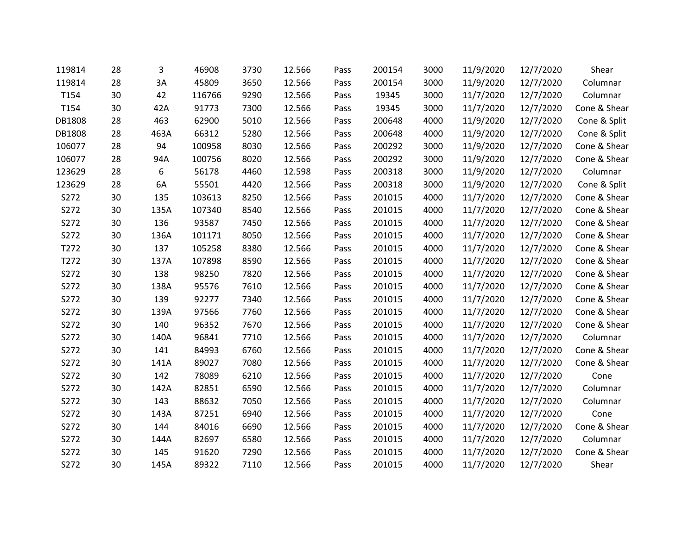| 119814 | 28 | 3    | 46908  | 3730 | 12.566 | Pass | 200154 | 3000 | 11/9/2020 | 12/7/2020 | Shear        |
|--------|----|------|--------|------|--------|------|--------|------|-----------|-----------|--------------|
| 119814 | 28 | 3A   | 45809  | 3650 | 12.566 | Pass | 200154 | 3000 | 11/9/2020 | 12/7/2020 | Columnar     |
| T154   | 30 | 42   | 116766 | 9290 | 12.566 | Pass | 19345  | 3000 | 11/7/2020 | 12/7/2020 | Columnar     |
| T154   | 30 | 42A  | 91773  | 7300 | 12.566 | Pass | 19345  | 3000 | 11/7/2020 | 12/7/2020 | Cone & Shear |
| DB1808 | 28 | 463  | 62900  | 5010 | 12.566 | Pass | 200648 | 4000 | 11/9/2020 | 12/7/2020 | Cone & Split |
| DB1808 | 28 | 463A | 66312  | 5280 | 12.566 | Pass | 200648 | 4000 | 11/9/2020 | 12/7/2020 | Cone & Split |
| 106077 | 28 | 94   | 100958 | 8030 | 12.566 | Pass | 200292 | 3000 | 11/9/2020 | 12/7/2020 | Cone & Shear |
| 106077 | 28 | 94A  | 100756 | 8020 | 12.566 | Pass | 200292 | 3000 | 11/9/2020 | 12/7/2020 | Cone & Shear |
| 123629 | 28 | 6    | 56178  | 4460 | 12.598 | Pass | 200318 | 3000 | 11/9/2020 | 12/7/2020 | Columnar     |
| 123629 | 28 | 6A   | 55501  | 4420 | 12.566 | Pass | 200318 | 3000 | 11/9/2020 | 12/7/2020 | Cone & Split |
| S272   | 30 | 135  | 103613 | 8250 | 12.566 | Pass | 201015 | 4000 | 11/7/2020 | 12/7/2020 | Cone & Shear |
| S272   | 30 | 135A | 107340 | 8540 | 12.566 | Pass | 201015 | 4000 | 11/7/2020 | 12/7/2020 | Cone & Shear |
| S272   | 30 | 136  | 93587  | 7450 | 12.566 | Pass | 201015 | 4000 | 11/7/2020 | 12/7/2020 | Cone & Shear |
| S272   | 30 | 136A | 101171 | 8050 | 12.566 | Pass | 201015 | 4000 | 11/7/2020 | 12/7/2020 | Cone & Shear |
| T272   | 30 | 137  | 105258 | 8380 | 12.566 | Pass | 201015 | 4000 | 11/7/2020 | 12/7/2020 | Cone & Shear |
| T272   | 30 | 137A | 107898 | 8590 | 12.566 | Pass | 201015 | 4000 | 11/7/2020 | 12/7/2020 | Cone & Shear |
| S272   | 30 | 138  | 98250  | 7820 | 12.566 | Pass | 201015 | 4000 | 11/7/2020 | 12/7/2020 | Cone & Shear |
| S272   | 30 | 138A | 95576  | 7610 | 12.566 | Pass | 201015 | 4000 | 11/7/2020 | 12/7/2020 | Cone & Shear |
| S272   | 30 | 139  | 92277  | 7340 | 12.566 | Pass | 201015 | 4000 | 11/7/2020 | 12/7/2020 | Cone & Shear |
| S272   | 30 | 139A | 97566  | 7760 | 12.566 | Pass | 201015 | 4000 | 11/7/2020 | 12/7/2020 | Cone & Shear |
| S272   | 30 | 140  | 96352  | 7670 | 12.566 | Pass | 201015 | 4000 | 11/7/2020 | 12/7/2020 | Cone & Shear |
| S272   | 30 | 140A | 96841  | 7710 | 12.566 | Pass | 201015 | 4000 | 11/7/2020 | 12/7/2020 | Columnar     |
| S272   | 30 | 141  | 84993  | 6760 | 12.566 | Pass | 201015 | 4000 | 11/7/2020 | 12/7/2020 | Cone & Shear |
| S272   | 30 | 141A | 89027  | 7080 | 12.566 | Pass | 201015 | 4000 | 11/7/2020 | 12/7/2020 | Cone & Shear |
| S272   | 30 | 142  | 78089  | 6210 | 12.566 | Pass | 201015 | 4000 | 11/7/2020 | 12/7/2020 | Cone         |
| S272   | 30 | 142A | 82851  | 6590 | 12.566 | Pass | 201015 | 4000 | 11/7/2020 | 12/7/2020 | Columnar     |
| S272   | 30 | 143  | 88632  | 7050 | 12.566 | Pass | 201015 | 4000 | 11/7/2020 | 12/7/2020 | Columnar     |
| S272   | 30 | 143A | 87251  | 6940 | 12.566 | Pass | 201015 | 4000 | 11/7/2020 | 12/7/2020 | Cone         |
| S272   | 30 | 144  | 84016  | 6690 | 12.566 | Pass | 201015 | 4000 | 11/7/2020 | 12/7/2020 | Cone & Shear |
| S272   | 30 | 144A | 82697  | 6580 | 12.566 | Pass | 201015 | 4000 | 11/7/2020 | 12/7/2020 | Columnar     |
| S272   | 30 | 145  | 91620  | 7290 | 12.566 | Pass | 201015 | 4000 | 11/7/2020 | 12/7/2020 | Cone & Shear |
| S272   | 30 | 145A | 89322  | 7110 | 12.566 | Pass | 201015 | 4000 | 11/7/2020 | 12/7/2020 | Shear        |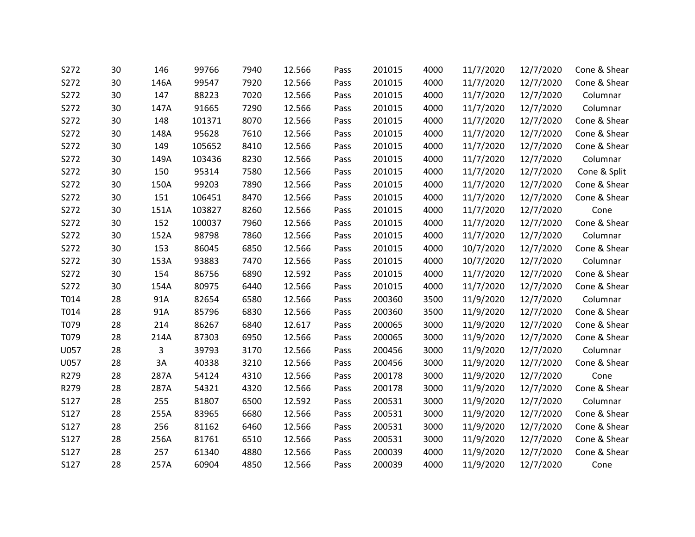| S272 | 30 | 146  | 99766  | 7940 | 12.566 | Pass | 201015 | 4000 | 11/7/2020 | 12/7/2020 | Cone & Shear |
|------|----|------|--------|------|--------|------|--------|------|-----------|-----------|--------------|
| S272 | 30 | 146A | 99547  | 7920 | 12.566 | Pass | 201015 | 4000 | 11/7/2020 | 12/7/2020 | Cone & Shear |
| S272 | 30 | 147  | 88223  | 7020 | 12.566 | Pass | 201015 | 4000 | 11/7/2020 | 12/7/2020 | Columnar     |
| S272 | 30 | 147A | 91665  | 7290 | 12.566 | Pass | 201015 | 4000 | 11/7/2020 | 12/7/2020 | Columnar     |
| S272 | 30 | 148  | 101371 | 8070 | 12.566 | Pass | 201015 | 4000 | 11/7/2020 | 12/7/2020 | Cone & Shear |
| S272 | 30 | 148A | 95628  | 7610 | 12.566 | Pass | 201015 | 4000 | 11/7/2020 | 12/7/2020 | Cone & Shear |
| S272 | 30 | 149  | 105652 | 8410 | 12.566 | Pass | 201015 | 4000 | 11/7/2020 | 12/7/2020 | Cone & Shear |
| S272 | 30 | 149A | 103436 | 8230 | 12.566 | Pass | 201015 | 4000 | 11/7/2020 | 12/7/2020 | Columnar     |
| S272 | 30 | 150  | 95314  | 7580 | 12.566 | Pass | 201015 | 4000 | 11/7/2020 | 12/7/2020 | Cone & Split |
| S272 | 30 | 150A | 99203  | 7890 | 12.566 | Pass | 201015 | 4000 | 11/7/2020 | 12/7/2020 | Cone & Shear |
| S272 | 30 | 151  | 106451 | 8470 | 12.566 | Pass | 201015 | 4000 | 11/7/2020 | 12/7/2020 | Cone & Shear |
| S272 | 30 | 151A | 103827 | 8260 | 12.566 | Pass | 201015 | 4000 | 11/7/2020 | 12/7/2020 | Cone         |
| S272 | 30 | 152  | 100037 | 7960 | 12.566 | Pass | 201015 | 4000 | 11/7/2020 | 12/7/2020 | Cone & Shear |
| S272 | 30 | 152A | 98798  | 7860 | 12.566 | Pass | 201015 | 4000 | 11/7/2020 | 12/7/2020 | Columnar     |
| S272 | 30 | 153  | 86045  | 6850 | 12.566 | Pass | 201015 | 4000 | 10/7/2020 | 12/7/2020 | Cone & Shear |
| S272 | 30 | 153A | 93883  | 7470 | 12.566 | Pass | 201015 | 4000 | 10/7/2020 | 12/7/2020 | Columnar     |
| S272 | 30 | 154  | 86756  | 6890 | 12.592 | Pass | 201015 | 4000 | 11/7/2020 | 12/7/2020 | Cone & Shear |
| S272 | 30 | 154A | 80975  | 6440 | 12.566 | Pass | 201015 | 4000 | 11/7/2020 | 12/7/2020 | Cone & Shear |
| T014 | 28 | 91A  | 82654  | 6580 | 12.566 | Pass | 200360 | 3500 | 11/9/2020 | 12/7/2020 | Columnar     |
| T014 | 28 | 91A  | 85796  | 6830 | 12.566 | Pass | 200360 | 3500 | 11/9/2020 | 12/7/2020 | Cone & Shear |
| T079 | 28 | 214  | 86267  | 6840 | 12.617 | Pass | 200065 | 3000 | 11/9/2020 | 12/7/2020 | Cone & Shear |
| T079 | 28 | 214A | 87303  | 6950 | 12.566 | Pass | 200065 | 3000 | 11/9/2020 | 12/7/2020 | Cone & Shear |
| U057 | 28 | 3    | 39793  | 3170 | 12.566 | Pass | 200456 | 3000 | 11/9/2020 | 12/7/2020 | Columnar     |
| U057 | 28 | 3A   | 40338  | 3210 | 12.566 | Pass | 200456 | 3000 | 11/9/2020 | 12/7/2020 | Cone & Shear |
| R279 | 28 | 287A | 54124  | 4310 | 12.566 | Pass | 200178 | 3000 | 11/9/2020 | 12/7/2020 | Cone         |
| R279 | 28 | 287A | 54321  | 4320 | 12.566 | Pass | 200178 | 3000 | 11/9/2020 | 12/7/2020 | Cone & Shear |
| S127 | 28 | 255  | 81807  | 6500 | 12.592 | Pass | 200531 | 3000 | 11/9/2020 | 12/7/2020 | Columnar     |
| S127 | 28 | 255A | 83965  | 6680 | 12.566 | Pass | 200531 | 3000 | 11/9/2020 | 12/7/2020 | Cone & Shear |
| S127 | 28 | 256  | 81162  | 6460 | 12.566 | Pass | 200531 | 3000 | 11/9/2020 | 12/7/2020 | Cone & Shear |
| S127 | 28 | 256A | 81761  | 6510 | 12.566 | Pass | 200531 | 3000 | 11/9/2020 | 12/7/2020 | Cone & Shear |
| S127 | 28 | 257  | 61340  | 4880 | 12.566 | Pass | 200039 | 4000 | 11/9/2020 | 12/7/2020 | Cone & Shear |
| S127 | 28 | 257A | 60904  | 4850 | 12.566 | Pass | 200039 | 4000 | 11/9/2020 | 12/7/2020 | Cone         |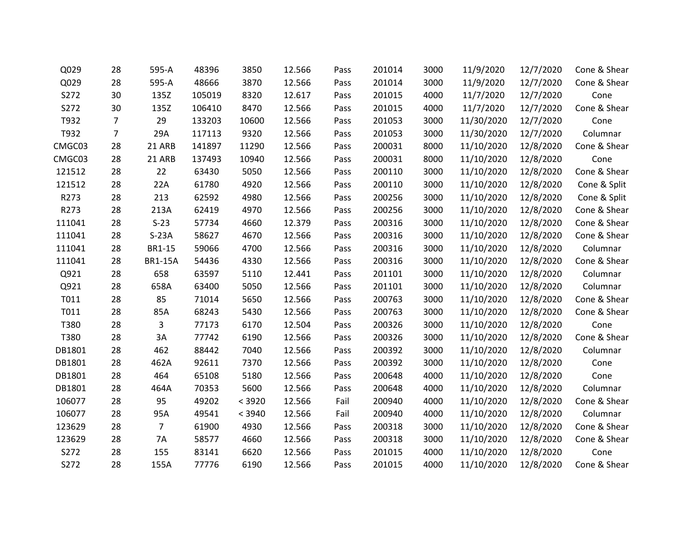| Q029   | 28 | 595-A          | 48396  | 3850   | 12.566 | Pass | 201014 | 3000 | 11/9/2020  | 12/7/2020 | Cone & Shear |
|--------|----|----------------|--------|--------|--------|------|--------|------|------------|-----------|--------------|
| Q029   | 28 | 595-A          | 48666  | 3870   | 12.566 | Pass | 201014 | 3000 | 11/9/2020  | 12/7/2020 | Cone & Shear |
| S272   | 30 | 135Z           | 105019 | 8320   | 12.617 | Pass | 201015 | 4000 | 11/7/2020  | 12/7/2020 | Cone         |
| S272   | 30 | 135Z           | 106410 | 8470   | 12.566 | Pass | 201015 | 4000 | 11/7/2020  | 12/7/2020 | Cone & Shear |
| T932   | 7  | 29             | 133203 | 10600  | 12.566 | Pass | 201053 | 3000 | 11/30/2020 | 12/7/2020 | Cone         |
| T932   | 7  | 29A            | 117113 | 9320   | 12.566 | Pass | 201053 | 3000 | 11/30/2020 | 12/7/2020 | Columnar     |
| CMGC03 | 28 | 21 ARB         | 141897 | 11290  | 12.566 | Pass | 200031 | 8000 | 11/10/2020 | 12/8/2020 | Cone & Shear |
| CMGC03 | 28 | 21 ARB         | 137493 | 10940  | 12.566 | Pass | 200031 | 8000 | 11/10/2020 | 12/8/2020 | Cone         |
| 121512 | 28 | 22             | 63430  | 5050   | 12.566 | Pass | 200110 | 3000 | 11/10/2020 | 12/8/2020 | Cone & Shear |
| 121512 | 28 | 22A            | 61780  | 4920   | 12.566 | Pass | 200110 | 3000 | 11/10/2020 | 12/8/2020 | Cone & Split |
| R273   | 28 | 213            | 62592  | 4980   | 12.566 | Pass | 200256 | 3000 | 11/10/2020 | 12/8/2020 | Cone & Split |
| R273   | 28 | 213A           | 62419  | 4970   | 12.566 | Pass | 200256 | 3000 | 11/10/2020 | 12/8/2020 | Cone & Shear |
| 111041 | 28 | $S-23$         | 57734  | 4660   | 12.379 | Pass | 200316 | 3000 | 11/10/2020 | 12/8/2020 | Cone & Shear |
| 111041 | 28 | $S-23A$        | 58627  | 4670   | 12.566 | Pass | 200316 | 3000 | 11/10/2020 | 12/8/2020 | Cone & Shear |
| 111041 | 28 | BR1-15         | 59066  | 4700   | 12.566 | Pass | 200316 | 3000 | 11/10/2020 | 12/8/2020 | Columnar     |
| 111041 | 28 | <b>BR1-15A</b> | 54436  | 4330   | 12.566 | Pass | 200316 | 3000 | 11/10/2020 | 12/8/2020 | Cone & Shear |
| Q921   | 28 | 658            | 63597  | 5110   | 12.441 | Pass | 201101 | 3000 | 11/10/2020 | 12/8/2020 | Columnar     |
| Q921   | 28 | 658A           | 63400  | 5050   | 12.566 | Pass | 201101 | 3000 | 11/10/2020 | 12/8/2020 | Columnar     |
| T011   | 28 | 85             | 71014  | 5650   | 12.566 | Pass | 200763 | 3000 | 11/10/2020 | 12/8/2020 | Cone & Shear |
| T011   | 28 | 85A            | 68243  | 5430   | 12.566 | Pass | 200763 | 3000 | 11/10/2020 | 12/8/2020 | Cone & Shear |
| T380   | 28 | 3              | 77173  | 6170   | 12.504 | Pass | 200326 | 3000 | 11/10/2020 | 12/8/2020 | Cone         |
| T380   | 28 | 3A             | 77742  | 6190   | 12.566 | Pass | 200326 | 3000 | 11/10/2020 | 12/8/2020 | Cone & Shear |
| DB1801 | 28 | 462            | 88442  | 7040   | 12.566 | Pass | 200392 | 3000 | 11/10/2020 | 12/8/2020 | Columnar     |
| DB1801 | 28 | 462A           | 92611  | 7370   | 12.566 | Pass | 200392 | 3000 | 11/10/2020 | 12/8/2020 | Cone         |
| DB1801 | 28 | 464            | 65108  | 5180   | 12.566 | Pass | 200648 | 4000 | 11/10/2020 | 12/8/2020 | Cone         |
| DB1801 | 28 | 464A           | 70353  | 5600   | 12.566 | Pass | 200648 | 4000 | 11/10/2020 | 12/8/2020 | Columnar     |
| 106077 | 28 | 95             | 49202  | < 3920 | 12.566 | Fail | 200940 | 4000 | 11/10/2020 | 12/8/2020 | Cone & Shear |
| 106077 | 28 | 95A            | 49541  | < 3940 | 12.566 | Fail | 200940 | 4000 | 11/10/2020 | 12/8/2020 | Columnar     |
| 123629 | 28 | $\overline{7}$ | 61900  | 4930   | 12.566 | Pass | 200318 | 3000 | 11/10/2020 | 12/8/2020 | Cone & Shear |
| 123629 | 28 | 7A             | 58577  | 4660   | 12.566 | Pass | 200318 | 3000 | 11/10/2020 | 12/8/2020 | Cone & Shear |
| S272   | 28 | 155            | 83141  | 6620   | 12.566 | Pass | 201015 | 4000 | 11/10/2020 | 12/8/2020 | Cone         |
| S272   | 28 | 155A           | 77776  | 6190   | 12.566 | Pass | 201015 | 4000 | 11/10/2020 | 12/8/2020 | Cone & Shear |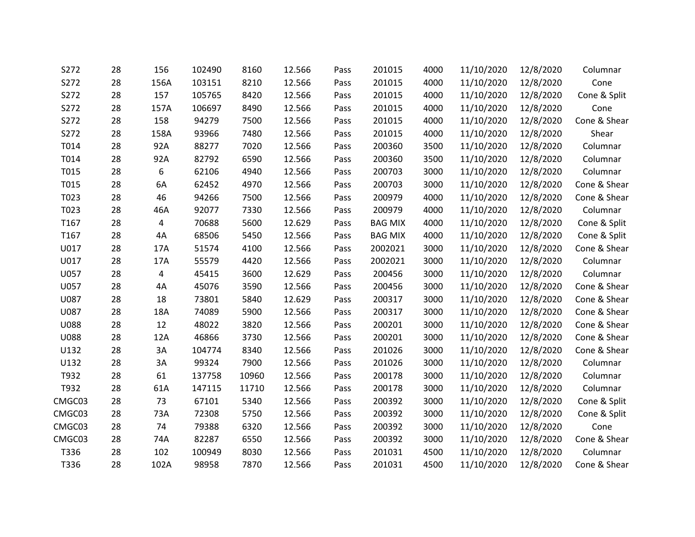| S272        | 28 | 156  | 102490 | 8160  | 12.566 | Pass | 201015         | 4000 | 11/10/2020 | 12/8/2020 | Columnar     |
|-------------|----|------|--------|-------|--------|------|----------------|------|------------|-----------|--------------|
| S272        | 28 | 156A | 103151 | 8210  | 12.566 | Pass | 201015         | 4000 | 11/10/2020 | 12/8/2020 | Cone         |
| S272        | 28 | 157  | 105765 | 8420  | 12.566 | Pass | 201015         | 4000 | 11/10/2020 | 12/8/2020 | Cone & Split |
| S272        | 28 | 157A | 106697 | 8490  | 12.566 | Pass | 201015         | 4000 | 11/10/2020 | 12/8/2020 | Cone         |
| S272        | 28 | 158  | 94279  | 7500  | 12.566 | Pass | 201015         | 4000 | 11/10/2020 | 12/8/2020 | Cone & Shear |
| S272        | 28 | 158A | 93966  | 7480  | 12.566 | Pass | 201015         | 4000 | 11/10/2020 | 12/8/2020 | Shear        |
| T014        | 28 | 92A  | 88277  | 7020  | 12.566 | Pass | 200360         | 3500 | 11/10/2020 | 12/8/2020 | Columnar     |
| T014        | 28 | 92A  | 82792  | 6590  | 12.566 | Pass | 200360         | 3500 | 11/10/2020 | 12/8/2020 | Columnar     |
| T015        | 28 | 6    | 62106  | 4940  | 12.566 | Pass | 200703         | 3000 | 11/10/2020 | 12/8/2020 | Columnar     |
| T015        | 28 | 6A   | 62452  | 4970  | 12.566 | Pass | 200703         | 3000 | 11/10/2020 | 12/8/2020 | Cone & Shear |
| T023        | 28 | 46   | 94266  | 7500  | 12.566 | Pass | 200979         | 4000 | 11/10/2020 | 12/8/2020 | Cone & Shear |
| T023        | 28 | 46A  | 92077  | 7330  | 12.566 | Pass | 200979         | 4000 | 11/10/2020 | 12/8/2020 | Columnar     |
| T167        | 28 | 4    | 70688  | 5600  | 12.629 | Pass | <b>BAG MIX</b> | 4000 | 11/10/2020 | 12/8/2020 | Cone & Split |
| T167        | 28 | 4A   | 68506  | 5450  | 12.566 | Pass | <b>BAG MIX</b> | 4000 | 11/10/2020 | 12/8/2020 | Cone & Split |
| U017        | 28 | 17A  | 51574  | 4100  | 12.566 | Pass | 2002021        | 3000 | 11/10/2020 | 12/8/2020 | Cone & Shear |
| U017        | 28 | 17A  | 55579  | 4420  | 12.566 | Pass | 2002021        | 3000 | 11/10/2020 | 12/8/2020 | Columnar     |
| U057        | 28 | 4    | 45415  | 3600  | 12.629 | Pass | 200456         | 3000 | 11/10/2020 | 12/8/2020 | Columnar     |
| U057        | 28 | 4A   | 45076  | 3590  | 12.566 | Pass | 200456         | 3000 | 11/10/2020 | 12/8/2020 | Cone & Shear |
| U087        | 28 | 18   | 73801  | 5840  | 12.629 | Pass | 200317         | 3000 | 11/10/2020 | 12/8/2020 | Cone & Shear |
| U087        | 28 | 18A  | 74089  | 5900  | 12.566 | Pass | 200317         | 3000 | 11/10/2020 | 12/8/2020 | Cone & Shear |
| <b>U088</b> | 28 | 12   | 48022  | 3820  | 12.566 | Pass | 200201         | 3000 | 11/10/2020 | 12/8/2020 | Cone & Shear |
| <b>U088</b> | 28 | 12A  | 46866  | 3730  | 12.566 | Pass | 200201         | 3000 | 11/10/2020 | 12/8/2020 | Cone & Shear |
| U132        | 28 | 3A   | 104774 | 8340  | 12.566 | Pass | 201026         | 3000 | 11/10/2020 | 12/8/2020 | Cone & Shear |
| U132        | 28 | 3A   | 99324  | 7900  | 12.566 | Pass | 201026         | 3000 | 11/10/2020 | 12/8/2020 | Columnar     |
| T932        | 28 | 61   | 137758 | 10960 | 12.566 | Pass | 200178         | 3000 | 11/10/2020 | 12/8/2020 | Columnar     |
| T932        | 28 | 61A  | 147115 | 11710 | 12.566 | Pass | 200178         | 3000 | 11/10/2020 | 12/8/2020 | Columnar     |
| CMGC03      | 28 | 73   | 67101  | 5340  | 12.566 | Pass | 200392         | 3000 | 11/10/2020 | 12/8/2020 | Cone & Split |
| CMGC03      | 28 | 73A  | 72308  | 5750  | 12.566 | Pass | 200392         | 3000 | 11/10/2020 | 12/8/2020 | Cone & Split |
| CMGC03      | 28 | 74   | 79388  | 6320  | 12.566 | Pass | 200392         | 3000 | 11/10/2020 | 12/8/2020 | Cone         |
| CMGC03      | 28 | 74A  | 82287  | 6550  | 12.566 | Pass | 200392         | 3000 | 11/10/2020 | 12/8/2020 | Cone & Shear |
| T336        | 28 | 102  | 100949 | 8030  | 12.566 | Pass | 201031         | 4500 | 11/10/2020 | 12/8/2020 | Columnar     |
| T336        | 28 | 102A | 98958  | 7870  | 12.566 | Pass | 201031         | 4500 | 11/10/2020 | 12/8/2020 | Cone & Shear |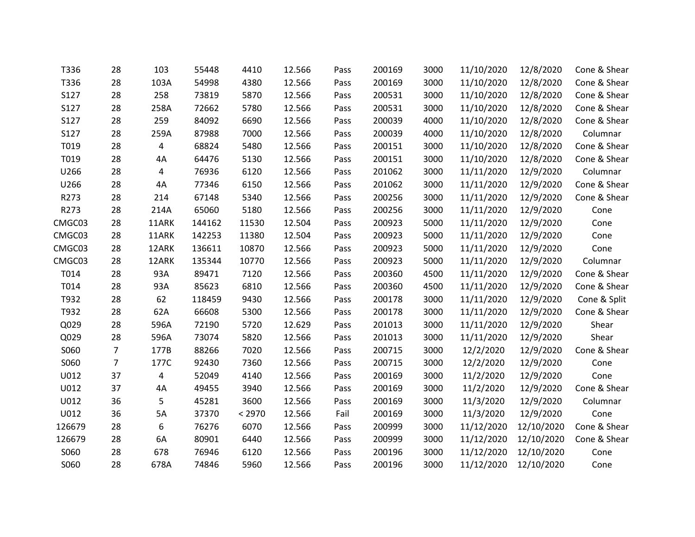| T336        | 28             | 103   | 55448  | 4410   | 12.566 | Pass | 200169 | 3000 | 11/10/2020 | 12/8/2020  | Cone & Shear |
|-------------|----------------|-------|--------|--------|--------|------|--------|------|------------|------------|--------------|
| T336        | 28             | 103A  | 54998  | 4380   | 12.566 | Pass | 200169 | 3000 | 11/10/2020 | 12/8/2020  | Cone & Shear |
| S127        | 28             | 258   | 73819  | 5870   | 12.566 | Pass | 200531 | 3000 | 11/10/2020 | 12/8/2020  | Cone & Shear |
| S127        | 28             | 258A  | 72662  | 5780   | 12.566 | Pass | 200531 | 3000 | 11/10/2020 | 12/8/2020  | Cone & Shear |
| S127        | 28             | 259   | 84092  | 6690   | 12.566 | Pass | 200039 | 4000 | 11/10/2020 | 12/8/2020  | Cone & Shear |
| <b>S127</b> | 28             | 259A  | 87988  | 7000   | 12.566 | Pass | 200039 | 4000 | 11/10/2020 | 12/8/2020  | Columnar     |
| T019        | 28             | 4     | 68824  | 5480   | 12.566 | Pass | 200151 | 3000 | 11/10/2020 | 12/8/2020  | Cone & Shear |
| T019        | 28             | 4A    | 64476  | 5130   | 12.566 | Pass | 200151 | 3000 | 11/10/2020 | 12/8/2020  | Cone & Shear |
| U266        | 28             | 4     | 76936  | 6120   | 12.566 | Pass | 201062 | 3000 | 11/11/2020 | 12/9/2020  | Columnar     |
| U266        | 28             | 4A    | 77346  | 6150   | 12.566 | Pass | 201062 | 3000 | 11/11/2020 | 12/9/2020  | Cone & Shear |
| R273        | 28             | 214   | 67148  | 5340   | 12.566 | Pass | 200256 | 3000 | 11/11/2020 | 12/9/2020  | Cone & Shear |
| R273        | 28             | 214A  | 65060  | 5180   | 12.566 | Pass | 200256 | 3000 | 11/11/2020 | 12/9/2020  | Cone         |
| CMGC03      | 28             | 11ARK | 144162 | 11530  | 12.504 | Pass | 200923 | 5000 | 11/11/2020 | 12/9/2020  | Cone         |
| CMGC03      | 28             | 11ARK | 142253 | 11380  | 12.504 | Pass | 200923 | 5000 | 11/11/2020 | 12/9/2020  | Cone         |
| CMGC03      | 28             | 12ARK | 136611 | 10870  | 12.566 | Pass | 200923 | 5000 | 11/11/2020 | 12/9/2020  | Cone         |
| CMGC03      | 28             | 12ARK | 135344 | 10770  | 12.566 | Pass | 200923 | 5000 | 11/11/2020 | 12/9/2020  | Columnar     |
| T014        | 28             | 93A   | 89471  | 7120   | 12.566 | Pass | 200360 | 4500 | 11/11/2020 | 12/9/2020  | Cone & Shear |
| T014        | 28             | 93A   | 85623  | 6810   | 12.566 | Pass | 200360 | 4500 | 11/11/2020 | 12/9/2020  | Cone & Shear |
| T932        | 28             | 62    | 118459 | 9430   | 12.566 | Pass | 200178 | 3000 | 11/11/2020 | 12/9/2020  | Cone & Split |
| T932        | 28             | 62A   | 66608  | 5300   | 12.566 | Pass | 200178 | 3000 | 11/11/2020 | 12/9/2020  | Cone & Shear |
| Q029        | 28             | 596A  | 72190  | 5720   | 12.629 | Pass | 201013 | 3000 | 11/11/2020 | 12/9/2020  | Shear        |
| Q029        | 28             | 596A  | 73074  | 5820   | 12.566 | Pass | 201013 | 3000 | 11/11/2020 | 12/9/2020  | Shear        |
| S060        | $\overline{7}$ | 177B  | 88266  | 7020   | 12.566 | Pass | 200715 | 3000 | 12/2/2020  | 12/9/2020  | Cone & Shear |
| S060        | $\overline{7}$ | 177C  | 92430  | 7360   | 12.566 | Pass | 200715 | 3000 | 12/2/2020  | 12/9/2020  | Cone         |
| U012        | 37             | 4     | 52049  | 4140   | 12.566 | Pass | 200169 | 3000 | 11/2/2020  | 12/9/2020  | Cone         |
| U012        | 37             | 4A    | 49455  | 3940   | 12.566 | Pass | 200169 | 3000 | 11/2/2020  | 12/9/2020  | Cone & Shear |
| U012        | 36             | 5     | 45281  | 3600   | 12.566 | Pass | 200169 | 3000 | 11/3/2020  | 12/9/2020  | Columnar     |
| U012        | 36             | 5A    | 37370  | < 2970 | 12.566 | Fail | 200169 | 3000 | 11/3/2020  | 12/9/2020  | Cone         |
| 126679      | 28             | 6     | 76276  | 6070   | 12.566 | Pass | 200999 | 3000 | 11/12/2020 | 12/10/2020 | Cone & Shear |
| 126679      | 28             | 6A    | 80901  | 6440   | 12.566 | Pass | 200999 | 3000 | 11/12/2020 | 12/10/2020 | Cone & Shear |
| S060        | 28             | 678   | 76946  | 6120   | 12.566 | Pass | 200196 | 3000 | 11/12/2020 | 12/10/2020 | Cone         |
| S060        | 28             | 678A  | 74846  | 5960   | 12.566 | Pass | 200196 | 3000 | 11/12/2020 | 12/10/2020 | Cone         |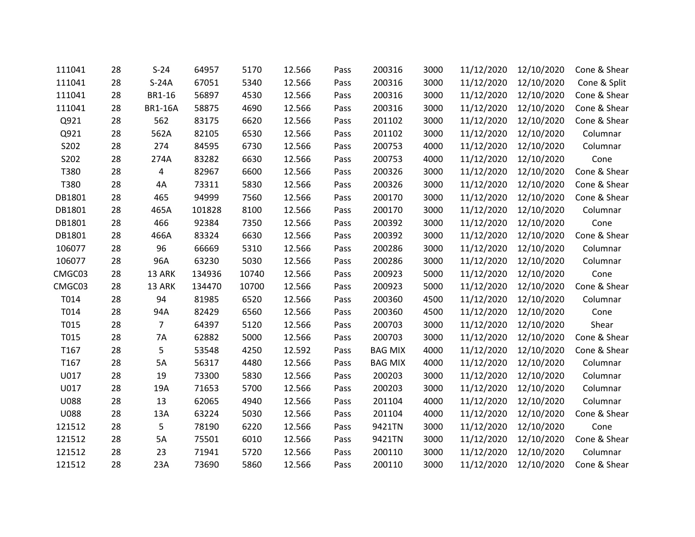| 111041           | 28 | $S-24$         | 64957  | 5170  | 12.566 | Pass | 200316         | 3000 | 11/12/2020 | 12/10/2020 | Cone & Shear |
|------------------|----|----------------|--------|-------|--------|------|----------------|------|------------|------------|--------------|
| 111041           | 28 | $S-24A$        | 67051  | 5340  | 12.566 | Pass | 200316         | 3000 | 11/12/2020 | 12/10/2020 | Cone & Split |
| 111041           | 28 | <b>BR1-16</b>  | 56897  | 4530  | 12.566 | Pass | 200316         | 3000 | 11/12/2020 | 12/10/2020 | Cone & Shear |
| 111041           | 28 | <b>BR1-16A</b> | 58875  | 4690  | 12.566 | Pass | 200316         | 3000 | 11/12/2020 | 12/10/2020 | Cone & Shear |
| Q921             | 28 | 562            | 83175  | 6620  | 12.566 | Pass | 201102         | 3000 | 11/12/2020 | 12/10/2020 | Cone & Shear |
| Q921             | 28 | 562A           | 82105  | 6530  | 12.566 | Pass | 201102         | 3000 | 11/12/2020 | 12/10/2020 | Columnar     |
| S202             | 28 | 274            | 84595  | 6730  | 12.566 | Pass | 200753         | 4000 | 11/12/2020 | 12/10/2020 | Columnar     |
| S202             | 28 | 274A           | 83282  | 6630  | 12.566 | Pass | 200753         | 4000 | 11/12/2020 | 12/10/2020 | Cone         |
| T380             | 28 | 4              | 82967  | 6600  | 12.566 | Pass | 200326         | 3000 | 11/12/2020 | 12/10/2020 | Cone & Shear |
| T380             | 28 | 4A             | 73311  | 5830  | 12.566 | Pass | 200326         | 3000 | 11/12/2020 | 12/10/2020 | Cone & Shear |
| DB1801           | 28 | 465            | 94999  | 7560  | 12.566 | Pass | 200170         | 3000 | 11/12/2020 | 12/10/2020 | Cone & Shear |
| DB1801           | 28 | 465A           | 101828 | 8100  | 12.566 | Pass | 200170         | 3000 | 11/12/2020 | 12/10/2020 | Columnar     |
| DB1801           | 28 | 466            | 92384  | 7350  | 12.566 | Pass | 200392         | 3000 | 11/12/2020 | 12/10/2020 | Cone         |
| DB1801           | 28 | 466A           | 83324  | 6630  | 12.566 | Pass | 200392         | 3000 | 11/12/2020 | 12/10/2020 | Cone & Shear |
| 106077           | 28 | 96             | 66669  | 5310  | 12.566 | Pass | 200286         | 3000 | 11/12/2020 | 12/10/2020 | Columnar     |
| 106077           | 28 | 96A            | 63230  | 5030  | 12.566 | Pass | 200286         | 3000 | 11/12/2020 | 12/10/2020 | Columnar     |
| CMGC03           | 28 | 13 ARK         | 134936 | 10740 | 12.566 | Pass | 200923         | 5000 | 11/12/2020 | 12/10/2020 | Cone         |
| CMGC03           | 28 | 13 ARK         | 134470 | 10700 | 12.566 | Pass | 200923         | 5000 | 11/12/2020 | 12/10/2020 | Cone & Shear |
| T014             | 28 | 94             | 81985  | 6520  | 12.566 | Pass | 200360         | 4500 | 11/12/2020 | 12/10/2020 | Columnar     |
| T014             | 28 | 94A            | 82429  | 6560  | 12.566 | Pass | 200360         | 4500 | 11/12/2020 | 12/10/2020 | Cone         |
| T015             | 28 | 7              | 64397  | 5120  | 12.566 | Pass | 200703         | 3000 | 11/12/2020 | 12/10/2020 | Shear        |
| T015             | 28 | 7A             | 62882  | 5000  | 12.566 | Pass | 200703         | 3000 | 11/12/2020 | 12/10/2020 | Cone & Shear |
| T167             | 28 | 5              | 53548  | 4250  | 12.592 | Pass | <b>BAG MIX</b> | 4000 | 11/12/2020 | 12/10/2020 | Cone & Shear |
| T <sub>167</sub> | 28 | 5A             | 56317  | 4480  | 12.566 | Pass | <b>BAG MIX</b> | 4000 | 11/12/2020 | 12/10/2020 | Columnar     |
| U017             | 28 | 19             | 73300  | 5830  | 12.566 | Pass | 200203         | 3000 | 11/12/2020 | 12/10/2020 | Columnar     |
| U017             | 28 | 19A            | 71653  | 5700  | 12.566 | Pass | 200203         | 3000 | 11/12/2020 | 12/10/2020 | Columnar     |
| <b>U088</b>      | 28 | 13             | 62065  | 4940  | 12.566 | Pass | 201104         | 4000 | 11/12/2020 | 12/10/2020 | Columnar     |
| <b>U088</b>      | 28 | 13A            | 63224  | 5030  | 12.566 | Pass | 201104         | 4000 | 11/12/2020 | 12/10/2020 | Cone & Shear |
| 121512           | 28 | 5              | 78190  | 6220  | 12.566 | Pass | 9421TN         | 3000 | 11/12/2020 | 12/10/2020 | Cone         |
| 121512           | 28 | 5A             | 75501  | 6010  | 12.566 | Pass | 9421TN         | 3000 | 11/12/2020 | 12/10/2020 | Cone & Shear |
| 121512           | 28 | 23             | 71941  | 5720  | 12.566 | Pass | 200110         | 3000 | 11/12/2020 | 12/10/2020 | Columnar     |
| 121512           | 28 | 23A            | 73690  | 5860  | 12.566 | Pass | 200110         | 3000 | 11/12/2020 | 12/10/2020 | Cone & Shear |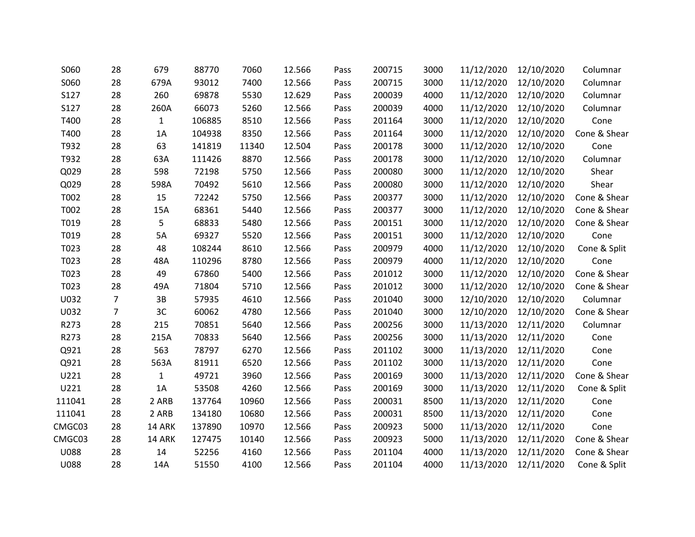| S060        | 28             | 679          | 88770  | 7060  | 12.566 | Pass | 200715 | 3000 | 11/12/2020 | 12/10/2020 | Columnar     |
|-------------|----------------|--------------|--------|-------|--------|------|--------|------|------------|------------|--------------|
| S060        | 28             | 679A         | 93012  | 7400  | 12.566 | Pass | 200715 | 3000 | 11/12/2020 | 12/10/2020 | Columnar     |
| S127        | 28             | 260          | 69878  | 5530  | 12.629 | Pass | 200039 | 4000 | 11/12/2020 | 12/10/2020 | Columnar     |
| S127        | 28             | 260A         | 66073  | 5260  | 12.566 | Pass | 200039 | 4000 | 11/12/2020 | 12/10/2020 | Columnar     |
| T400        | 28             | $\mathbf{1}$ | 106885 | 8510  | 12.566 | Pass | 201164 | 3000 | 11/12/2020 | 12/10/2020 | Cone         |
| T400        | 28             | 1A           | 104938 | 8350  | 12.566 | Pass | 201164 | 3000 | 11/12/2020 | 12/10/2020 | Cone & Shear |
| T932        | 28             | 63           | 141819 | 11340 | 12.504 | Pass | 200178 | 3000 | 11/12/2020 | 12/10/2020 | Cone         |
| T932        | 28             | 63A          | 111426 | 8870  | 12.566 | Pass | 200178 | 3000 | 11/12/2020 | 12/10/2020 | Columnar     |
| Q029        | 28             | 598          | 72198  | 5750  | 12.566 | Pass | 200080 | 3000 | 11/12/2020 | 12/10/2020 | Shear        |
| Q029        | 28             | 598A         | 70492  | 5610  | 12.566 | Pass | 200080 | 3000 | 11/12/2020 | 12/10/2020 | Shear        |
| T002        | 28             | 15           | 72242  | 5750  | 12.566 | Pass | 200377 | 3000 | 11/12/2020 | 12/10/2020 | Cone & Shear |
| T002        | 28             | 15A          | 68361  | 5440  | 12.566 | Pass | 200377 | 3000 | 11/12/2020 | 12/10/2020 | Cone & Shear |
| T019        | 28             | 5            | 68833  | 5480  | 12.566 | Pass | 200151 | 3000 | 11/12/2020 | 12/10/2020 | Cone & Shear |
| T019        | 28             | 5A           | 69327  | 5520  | 12.566 | Pass | 200151 | 3000 | 11/12/2020 | 12/10/2020 | Cone         |
| T023        | 28             | 48           | 108244 | 8610  | 12.566 | Pass | 200979 | 4000 | 11/12/2020 | 12/10/2020 | Cone & Split |
| T023        | 28             | 48A          | 110296 | 8780  | 12.566 | Pass | 200979 | 4000 | 11/12/2020 | 12/10/2020 | Cone         |
| T023        | 28             | 49           | 67860  | 5400  | 12.566 | Pass | 201012 | 3000 | 11/12/2020 | 12/10/2020 | Cone & Shear |
| T023        | 28             | 49A          | 71804  | 5710  | 12.566 | Pass | 201012 | 3000 | 11/12/2020 | 12/10/2020 | Cone & Shear |
| U032        | $\overline{7}$ | 3B           | 57935  | 4610  | 12.566 | Pass | 201040 | 3000 | 12/10/2020 | 12/10/2020 | Columnar     |
| U032        | $\overline{7}$ | 3C           | 60062  | 4780  | 12.566 | Pass | 201040 | 3000 | 12/10/2020 | 12/10/2020 | Cone & Shear |
| R273        | 28             | 215          | 70851  | 5640  | 12.566 | Pass | 200256 | 3000 | 11/13/2020 | 12/11/2020 | Columnar     |
| R273        | 28             | 215A         | 70833  | 5640  | 12.566 | Pass | 200256 | 3000 | 11/13/2020 | 12/11/2020 | Cone         |
| Q921        | 28             | 563          | 78797  | 6270  | 12.566 | Pass | 201102 | 3000 | 11/13/2020 | 12/11/2020 | Cone         |
| Q921        | 28             | 563A         | 81911  | 6520  | 12.566 | Pass | 201102 | 3000 | 11/13/2020 | 12/11/2020 | Cone         |
| U221        | 28             | $\mathbf{1}$ | 49721  | 3960  | 12.566 | Pass | 200169 | 3000 | 11/13/2020 | 12/11/2020 | Cone & Shear |
| U221        | 28             | 1A           | 53508  | 4260  | 12.566 | Pass | 200169 | 3000 | 11/13/2020 | 12/11/2020 | Cone & Split |
| 111041      | 28             | 2 ARB        | 137764 | 10960 | 12.566 | Pass | 200031 | 8500 | 11/13/2020 | 12/11/2020 | Cone         |
| 111041      | 28             | 2 ARB        | 134180 | 10680 | 12.566 | Pass | 200031 | 8500 | 11/13/2020 | 12/11/2020 | Cone         |
| CMGC03      | 28             | 14 ARK       | 137890 | 10970 | 12.566 | Pass | 200923 | 5000 | 11/13/2020 | 12/11/2020 | Cone         |
| CMGC03      | 28             | 14 ARK       | 127475 | 10140 | 12.566 | Pass | 200923 | 5000 | 11/13/2020 | 12/11/2020 | Cone & Shear |
| <b>U088</b> | 28             | 14           | 52256  | 4160  | 12.566 | Pass | 201104 | 4000 | 11/13/2020 | 12/11/2020 | Cone & Shear |
| <b>U088</b> | 28             | 14A          | 51550  | 4100  | 12.566 | Pass | 201104 | 4000 | 11/13/2020 | 12/11/2020 | Cone & Split |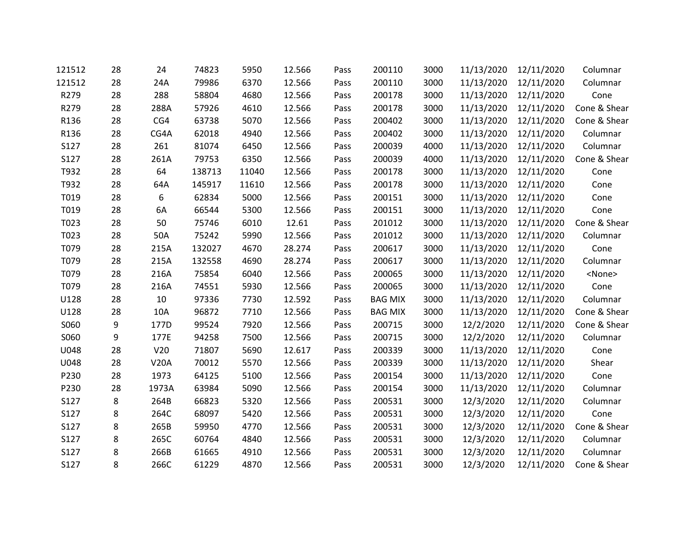| 121512 | 28 | 24          | 74823  | 5950  | 12.566 | Pass | 200110         | 3000 | 11/13/2020 | 12/11/2020 | Columnar      |
|--------|----|-------------|--------|-------|--------|------|----------------|------|------------|------------|---------------|
| 121512 | 28 | 24A         | 79986  | 6370  | 12.566 | Pass | 200110         | 3000 | 11/13/2020 | 12/11/2020 | Columnar      |
| R279   | 28 | 288         | 58804  | 4680  | 12.566 | Pass | 200178         | 3000 | 11/13/2020 | 12/11/2020 | Cone          |
| R279   | 28 | 288A        | 57926  | 4610  | 12.566 | Pass | 200178         | 3000 | 11/13/2020 | 12/11/2020 | Cone & Shear  |
| R136   | 28 | CG4         | 63738  | 5070  | 12.566 | Pass | 200402         | 3000 | 11/13/2020 | 12/11/2020 | Cone & Shear  |
| R136   | 28 | CG4A        | 62018  | 4940  | 12.566 | Pass | 200402         | 3000 | 11/13/2020 | 12/11/2020 | Columnar      |
| S127   | 28 | 261         | 81074  | 6450  | 12.566 | Pass | 200039         | 4000 | 11/13/2020 | 12/11/2020 | Columnar      |
| S127   | 28 | 261A        | 79753  | 6350  | 12.566 | Pass | 200039         | 4000 | 11/13/2020 | 12/11/2020 | Cone & Shear  |
| T932   | 28 | 64          | 138713 | 11040 | 12.566 | Pass | 200178         | 3000 | 11/13/2020 | 12/11/2020 | Cone          |
| T932   | 28 | 64A         | 145917 | 11610 | 12.566 | Pass | 200178         | 3000 | 11/13/2020 | 12/11/2020 | Cone          |
| T019   | 28 | 6           | 62834  | 5000  | 12.566 | Pass | 200151         | 3000 | 11/13/2020 | 12/11/2020 | Cone          |
| T019   | 28 | 6A          | 66544  | 5300  | 12.566 | Pass | 200151         | 3000 | 11/13/2020 | 12/11/2020 | Cone          |
| T023   | 28 | 50          | 75746  | 6010  | 12.61  | Pass | 201012         | 3000 | 11/13/2020 | 12/11/2020 | Cone & Shear  |
| T023   | 28 | 50A         | 75242  | 5990  | 12.566 | Pass | 201012         | 3000 | 11/13/2020 | 12/11/2020 | Columnar      |
| T079   | 28 | 215A        | 132027 | 4670  | 28.274 | Pass | 200617         | 3000 | 11/13/2020 | 12/11/2020 | Cone          |
| T079   | 28 | 215A        | 132558 | 4690  | 28.274 | Pass | 200617         | 3000 | 11/13/2020 | 12/11/2020 | Columnar      |
| T079   | 28 | 216A        | 75854  | 6040  | 12.566 | Pass | 200065         | 3000 | 11/13/2020 | 12/11/2020 | <none></none> |
| T079   | 28 | 216A        | 74551  | 5930  | 12.566 | Pass | 200065         | 3000 | 11/13/2020 | 12/11/2020 | Cone          |
| U128   | 28 | 10          | 97336  | 7730  | 12.592 | Pass | <b>BAG MIX</b> | 3000 | 11/13/2020 | 12/11/2020 | Columnar      |
| U128   | 28 | 10A         | 96872  | 7710  | 12.566 | Pass | <b>BAG MIX</b> | 3000 | 11/13/2020 | 12/11/2020 | Cone & Shear  |
| S060   | 9  | 177D        | 99524  | 7920  | 12.566 | Pass | 200715         | 3000 | 12/2/2020  | 12/11/2020 | Cone & Shear  |
| S060   | 9  | 177E        | 94258  | 7500  | 12.566 | Pass | 200715         | 3000 | 12/2/2020  | 12/11/2020 | Columnar      |
| U048   | 28 | V20         | 71807  | 5690  | 12.617 | Pass | 200339         | 3000 | 11/13/2020 | 12/11/2020 | Cone          |
| U048   | 28 | <b>V20A</b> | 70012  | 5570  | 12.566 | Pass | 200339         | 3000 | 11/13/2020 | 12/11/2020 | Shear         |
| P230   | 28 | 1973        | 64125  | 5100  | 12.566 | Pass | 200154         | 3000 | 11/13/2020 | 12/11/2020 | Cone          |
| P230   | 28 | 1973A       | 63984  | 5090  | 12.566 | Pass | 200154         | 3000 | 11/13/2020 | 12/11/2020 | Columnar      |
| S127   | 8  | 264B        | 66823  | 5320  | 12.566 | Pass | 200531         | 3000 | 12/3/2020  | 12/11/2020 | Columnar      |
| S127   | 8  | 264C        | 68097  | 5420  | 12.566 | Pass | 200531         | 3000 | 12/3/2020  | 12/11/2020 | Cone          |
| S127   | 8  | 265B        | 59950  | 4770  | 12.566 | Pass | 200531         | 3000 | 12/3/2020  | 12/11/2020 | Cone & Shear  |
| S127   | 8  | 265C        | 60764  | 4840  | 12.566 | Pass | 200531         | 3000 | 12/3/2020  | 12/11/2020 | Columnar      |
| S127   | 8  | 266B        | 61665  | 4910  | 12.566 | Pass | 200531         | 3000 | 12/3/2020  | 12/11/2020 | Columnar      |
| S127   | 8  | 266C        | 61229  | 4870  | 12.566 | Pass | 200531         | 3000 | 12/3/2020  | 12/11/2020 | Cone & Shear  |